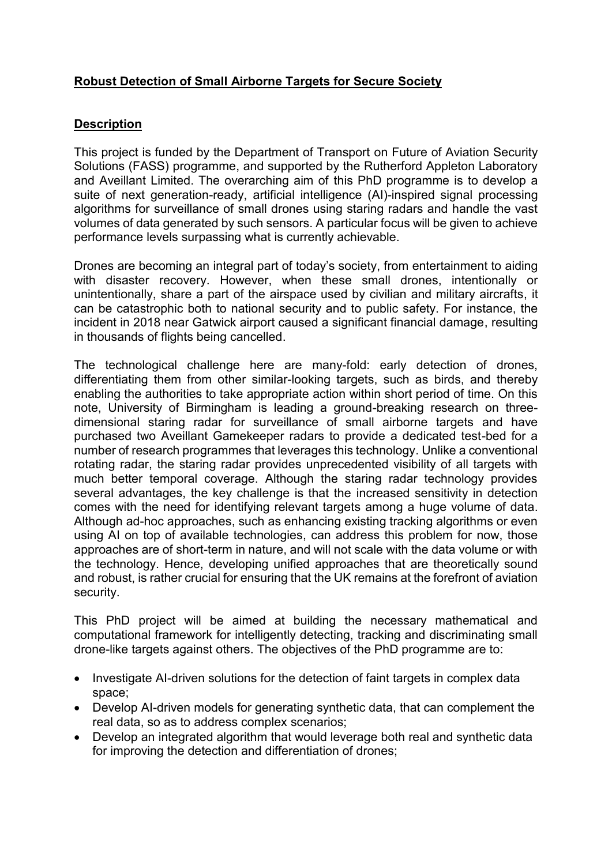## **Robust Detection of Small Airborne Targets for Secure Society**

## **Description**

This project is funded by the Department of Transport on Future of Aviation Security Solutions (FASS) programme, and supported by the Rutherford Appleton Laboratory and Aveillant Limited. The overarching aim of this PhD programme is to develop a suite of next generation-ready, artificial intelligence (AI)-inspired signal processing algorithms for surveillance of small drones using staring radars and handle the vast volumes of data generated by such sensors. A particular focus will be given to achieve performance levels surpassing what is currently achievable.

Drones are becoming an integral part of today's society, from entertainment to aiding with disaster recovery. However, when these small drones, intentionally or unintentionally, share a part of the airspace used by civilian and military aircrafts, it can be catastrophic both to national security and to public safety. For instance, the incident in 2018 near Gatwick airport caused a significant financial damage, resulting in thousands of flights being cancelled.

The technological challenge here are many-fold: early detection of drones, differentiating them from other similar-looking targets, such as birds, and thereby enabling the authorities to take appropriate action within short period of time. On this note, University of Birmingham is leading a ground-breaking research on threedimensional staring radar for surveillance of small airborne targets and have purchased two Aveillant Gamekeeper radars to provide a dedicated test-bed for a number of research programmes that leverages this technology. Unlike a conventional rotating radar, the staring radar provides unprecedented visibility of all targets with much better temporal coverage. Although the staring radar technology provides several advantages, the key challenge is that the increased sensitivity in detection comes with the need for identifying relevant targets among a huge volume of data. Although ad-hoc approaches, such as enhancing existing tracking algorithms or even using AI on top of available technologies, can address this problem for now, those approaches are of short-term in nature, and will not scale with the data volume or with the technology. Hence, developing unified approaches that are theoretically sound and robust, is rather crucial for ensuring that the UK remains at the forefront of aviation security.

This PhD project will be aimed at building the necessary mathematical and computational framework for intelligently detecting, tracking and discriminating small drone-like targets against others. The objectives of the PhD programme are to:

- Investigate AI-driven solutions for the detection of faint targets in complex data space;
- Develop AI-driven models for generating synthetic data, that can complement the real data, so as to address complex scenarios;
- Develop an integrated algorithm that would leverage both real and synthetic data for improving the detection and differentiation of drones;